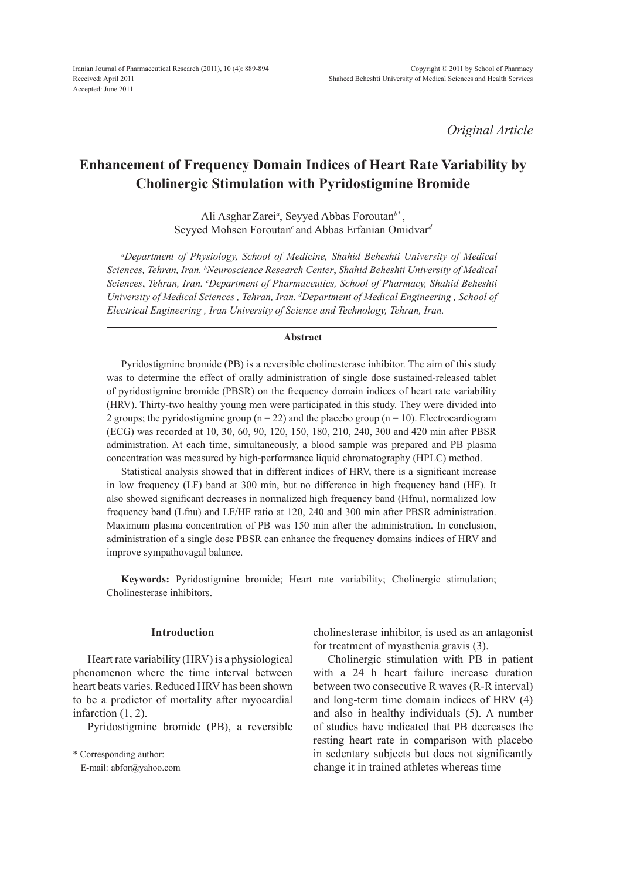*Original Article*

# **Enhancement of Frequency Domain Indices of Heart Rate Variability by Cholinergic Stimulation with Pyridostigmine Bromide**

Ali AsgharZarei*<sup>a</sup>* , Seyyed Abbas Foroutan*b\** , Seyyed Mohsen Foroutan*<sup>c</sup>*and Abbas Erfanian Omidvar*<sup>d</sup>*

*a Department of Physiology, School of Medicine, Shahid Beheshti University of Medical Sciences, Tehran, Iran. b Neuroscience Research Center*, *Shahid Beheshti University of Medical Sciences*, *Tehran, Iran. c Department of Pharmaceutics, School of Pharmacy, Shahid Beheshti University of Medical Sciences , Tehran, Iran. d Department of Medical Engineering , School of Electrical Engineering , Iran University of Science and Technology, Tehran, Iran.*

### **Abstract**

Pyridostigmine bromide (PB) is a reversible cholinesterase inhibitor. The aim of this study was to determine the effect of orally administration of single dose sustained-released tablet of pyridostigmine bromide (PBSR) on the frequency domain indices of heart rate variability (HRV). Thirty-two healthy young men were participated in this study. They were divided into 2 groups; the pyridostigmine group ( $n = 22$ ) and the placebo group ( $n = 10$ ). Electrocardiogram (ECG) was recorded at 10, 30, 60, 90, 120, 150, 180, 210, 240, 300 and 420 min after PBSR administration. At each time, simultaneously, a blood sample was prepared and PB plasma concentration was measured by high-performance liquid chromatography (HPLC) method.

Statistical analysis showed that in different indices of HRV, there is a significant increase in low frequency (LF) band at 300 min, but no difference in high frequency band (HF). It also showed significant decreases in normalized high frequency band (Hfnu), normalized low frequency band (Lfnu) and LF/HF ratio at 120, 240 and 300 min after PBSR administration. Maximum plasma concentration of PB was 150 min after the administration. In conclusion, administration of a single dose PBSR can enhance the frequency domains indices of HRV and improve sympathovagal balance.

**Keywords:** Pyridostigmine bromide; Heart rate variability; Cholinergic stimulation; Cholinesterase inhibitors.

## **Introduction**

Heart rate variability (HRV) is a physiological phenomenon where the time interval between heart beats varies. Reduced HRV has been shown to be a predictor of mortality after myocardial infarction (1, 2).

Pyridostigmine bromide (PB), a reversible

cholinesterase inhibitor, is used as an antagonist for treatment of myasthenia gravis (3).

Cholinergic stimulation with PB in patient with a 24 h heart failure increase duration between two consecutive R waves (R-R interval) and long-term time domain indices of HRV (4) and also in healthy individuals (5). A number of studies have indicated that PB decreases the resting heart rate in comparison with placebo in sedentary subjects but does not significantly change it in trained athletes whereas time

<sup>\*</sup> Corresponding author:

E-mail: abfor@yahoo.com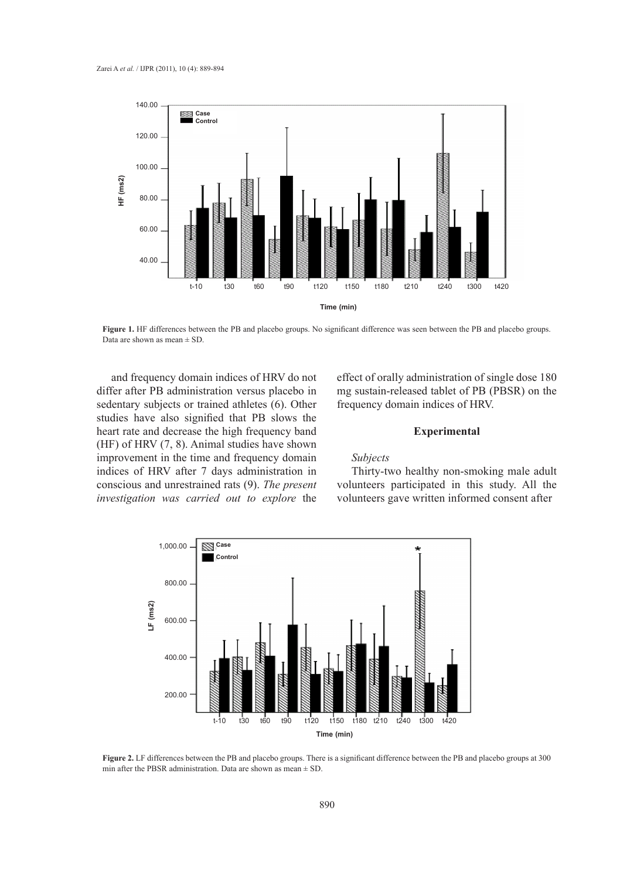

**Figure 1.** HF differences between the PB and placebo groups. No significant difference was seen between the PB and placebo groups. Data are shown as mean ± SD.

and frequency domain indices of HRV do not differ after PB administration versus placebo in sedentary subjects or trained athletes (6). Other studies have also signified that PB slows the heart rate and decrease the high frequency band (HF) of HRV (7, 8). Animal studies have shown improvement in the time and frequency domain indices of HRV after 7 days administration in conscious and unrestrained rats (9). *The present investigation was carried out to explore* the effect of orally administration of single dose 180 mg sustain-released tablet of PB (PBSR) on the frequency domain indices of HRV.

## **Experimental**

# *Subjects*

Thirty-two healthy non-smoking male adult volunteers participated in this study. All the volunteers gave written informed consent after



**Figure 2.** LF differences between the PB and placebo groups. There is a significant difference between the PB and placebo groups at 300 min after the PBSR administration. Data are shown as mean  $\pm$  SD.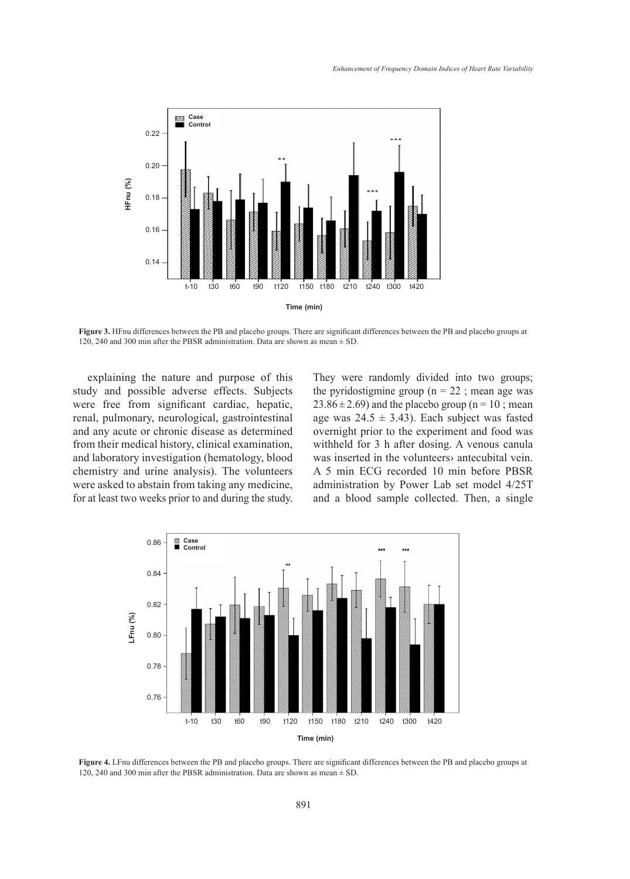

**Figure 3.** HFnu differences between the PB and placebo groups. There are significant differences between the PB and placebo groups at 120, 240 and 300 min after the PBSR administration. Data are shown as mean ± SD.

explaining the nature and purpose of this study and possible adverse effects. Subjects were free from significant cardiac, hepatic, renal, pulmonary, neurological, gastrointestinal and any acute or chronic disease as determined from their medical history, clinical examination, and laboratory investigation (hematology, blood chemistry and urine analysis). The volunteers were asked to abstain from taking any medicine, for at least two weeks prior to and during the study.

They were randomly divided into two groups; the pyridostigmine group ( $n = 22$ ; mean age was  $23.86 \pm 2.69$ ) and the placebo group (n = 10; mean age was  $24.5 \pm 3.43$ ). Each subject was fasted overnight prior to the experiment and food was withheld for 3 h after dosing. A venous canula was inserted in the volunteers› antecubital vein. A 5 min ECG recorded 10 min before PBSR administration by Power Lab set model 4/25T and a blood sample collected. Then, a single



**Figure 4.** LFnu differences between the PB and placebo groups. There are significant differences between the PB and placebo groups at 120, 240 and 300 min after the PBSR administration. Data are shown as mean  $\pm$  SD.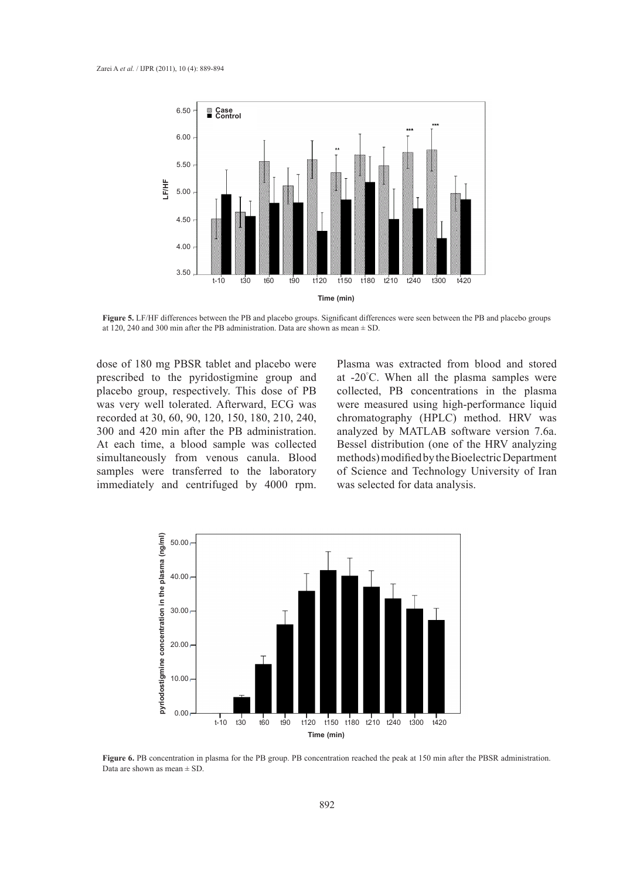

**Figure 5.** LF/HF differences between the PB and placebo groups. Significant differences were seen between the PB and placebo groups at 120, 240 and 300 min after the PB administration. Data are shown as mean ± SD.

dose of 180 mg PBSR tablet and placebo were prescribed to the pyridostigmine group and placebo group, respectively. This dose of PB was very well tolerated. Afterward, ECG was recorded at 30, 60, 90, 120, 150, 180, 210, 240, 300 and 420 min after the PB administration. At each time, a blood sample was collected simultaneously from venous canula. Blood samples were transferred to the laboratory immediately and centrifuged by 4000 rpm. Plasma was extracted from blood and stored at -20° C. When all the plasma samples were collected, PB concentrations in the plasma were measured using high-performance liquid chromatography (HPLC) method. HRV was analyzed by MATLAB software version 7.6a. Bessel distribution (one of the HRV analyzing methods) modified by the Bioelectric Department of Science and Technology University of Iran was selected for data analysis.



**Figure 6.** PB concentration in plasma for the PB group. PB concentration reached the peak at 150 min after the PBSR administration. Data are shown as mean  $\pm$  SD.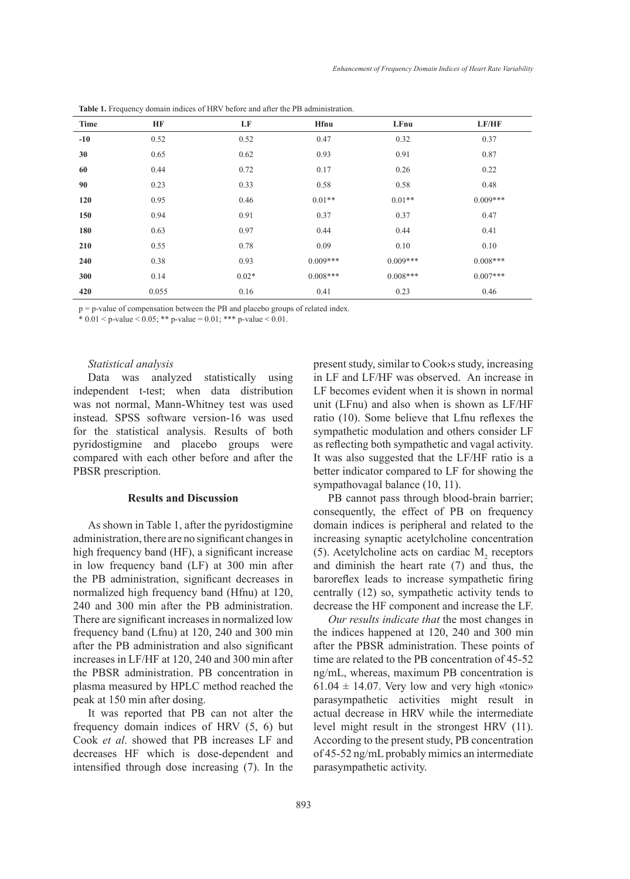| Time  | HF    | LF      | <b>Hfnu</b> | LFnu       | LF/HF      |
|-------|-------|---------|-------------|------------|------------|
| $-10$ | 0.52  | 0.52    | 0.47        | 0.32       | 0.37       |
| 30    | 0.65  | 0.62    | 0.93        | 0.91       | 0.87       |
| 60    | 0.44  | 0.72    | 0.17        | 0.26       | 0.22       |
| 90    | 0.23  | 0.33    | 0.58        | 0.58       | 0.48       |
| 120   | 0.95  | 0.46    | $0.01**$    | $0.01**$   | $0.009***$ |
| 150   | 0.94  | 0.91    | 0.37        | 0.37       | 0.47       |
| 180   | 0.63  | 0.97    | 0.44        | 0.44       | 0.41       |
| 210   | 0.55  | 0.78    | 0.09        | 0.10       | 0.10       |
| 240   | 0.38  | 0.93    | $0.009***$  | $0.009***$ | $0.008***$ |
| 300   | 0.14  | $0.02*$ | $0.008***$  | $0.008***$ | $0.007***$ |
| 420   | 0.055 | 0.16    | 0.41        | 0.23       | 0.46       |

**Table 1.** Frequency domain indices of HRV before and after the PB administration.

p = p-value of compensation between the PB and placebo groups of related index.

\*  $0.01 < p$ -value  $< 0.05$ ; \*\* p-value =  $0.01$ ; \*\*\* p-value  $< 0.01$ .

#### *Statistical analysis*

Data was analyzed statistically using independent t-test; when data distribution was not normal, Mann-Whitney test was used instead. SPSS software version-16 was used for the statistical analysis. Results of both pyridostigmine and placebo groups were compared with each other before and after the PBSR prescription.

## **Results and Discussion**

As shown in Table 1, after the pyridostigmine administration, there are no significant changes in high frequency band (HF), a significant increase in low frequency band (LF) at 300 min after the PB administration, significant decreases in normalized high frequency band (Hfnu) at 120, 240 and 300 min after the PB administration. There are significant increases in normalized low frequency band (Lfnu) at 120, 240 and 300 min after the PB administration and also significant increases in LF/HF at 120, 240 and 300 min after the PBSR administration. PB concentration in plasma measured by HPLC method reached the peak at 150 min after dosing.

It was reported that PB can not alter the frequency domain indices of HRV (5, 6) but Cook *et al*. showed that PB increases LF and decreases HF which is dose-dependent and intensified through dose increasing (7). In the present study, similar to Cook›s study, increasing in LF and LF/HF was observed. An increase in LF becomes evident when it is shown in normal unit (LFnu) and also when is shown as LF/HF ratio (10). Some believe that Lfnu reflexes the sympathetic modulation and others consider LF as reflecting both sympathetic and vagal activity. It was also suggested that the LF/HF ratio is a better indicator compared to LF for showing the sympathovagal balance (10, 11).

PB cannot pass through blood-brain barrier; consequently, the effect of PB on frequency domain indices is peripheral and related to the increasing synaptic acetylcholine concentration (5). Acetylcholine acts on cardiac  $M<sub>2</sub>$  receptors and diminish the heart rate (7) and thus, the baroreflex leads to increase sympathetic firing centrally (12) so, sympathetic activity tends to decrease the HF component and increase the LF.

*Our results indicate that* the most changes in the indices happened at 120, 240 and 300 min after the PBSR administration. These points of time are related to the PB concentration of 45-52 ng/mL, whereas, maximum PB concentration is  $61.04 \pm 14.07$ . Very low and very high «tonic» parasympathetic activities might result in actual decrease in HRV while the intermediate level might result in the strongest HRV (11). According to the present study, PB concentration of 45-52 ng/mL probably mimics an intermediate parasympathetic activity.